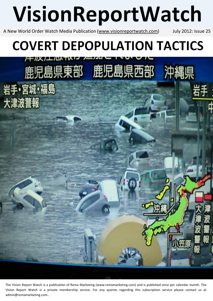# VisionReportWatch

A New World Order Watch Media Publication (www.visionreportwatch.com) July 2012: Issue 25

鹿児島県東部 鹿児島県西部

岩手·宮城·福島

大津波警報

沖縄

# **COVERT DEPOPULATION TACTICS**

The Vision Report Watch is a publication of Rema Marketing (www.remamarketing.com) and is published once per calendar month. The Vision Report Watch is a private membership service. For any queries regarding this subscription service please contact us at admin@remamarketing.com..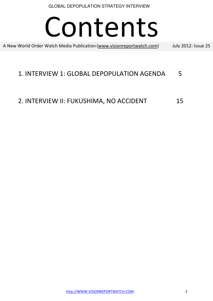# Contents

A New World Order Watch Media Publication (www.visionreportwatch.com) July 2012: Issue 25

### 1. INTERVIEW 1: GLOBAL DEPOPULATION AGENDA 5

## 2. INTERVIEW II: FUKUSHIMA, NO ACCIDENT 15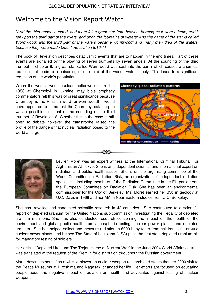## Welcome to the Vision Report Watch

"And the third angel sounded, and there fell a great star from heaven, burning as it were a lamp, and it fell upon the third part of the rivers, and upon the fountains of waters; And the name of the star is called Wormwood: and the third part of the waters became wormwood; and many men died of the waters, because they were made bitter." Revelation 8:10-11

The book of Revelation describes cataclysmic events that are to happen in the end times. Part of these events are signalled by the blowing of seven trumpets by seven angels. At the sounding of the third trumpet in chapter 8, a great star called Wormwood was cast into the earth which causes a chemical reaction that leads to a poisoning of one third of the worlds water supply. This leads to a significant reduction of the world's population.

When the world's worst nuclear meltdown occurred in 1986 at Chernobyl in Ukraine, may bible prophecy commentators felt this was of great significance because Chernobyl is the Russian word for wormwood! It would have appeared to some that the Chernobyl catastrophe was a possible fulfilment of the sounding of the third trumpet of Revelation 8. Whether this is the case is still open to debate however the catastrophe raised the profile of the dangers that nuclear radiation posed to the world at large.





Leuren Moret was an expert witness at the International Criminal Tribunal For Afghanistan At Tokyo. She is an independent scientist and international expert on radiation and public health issues. She is on the organizing committee of the World Committee on Radiation Risk, an organization of independent radiation specialists, including members of the Radiation Committee in the EU parliament, the European Committee on Radiation Risk. She has been an environmental commissioner for the City of Berkeley. Ms. Moret earned her BSc in geology at U.C. Davis in 1968 and her MA in Near Eastern studies from U.C. Berkeley.

She has travelled and conducted scientific research in 42 countries. She contributed to a scientific report on depleted uranium for the United Nations sub commission investigating the illegality of depleted uranium munitions. She has also conducted research concerning the impact on the health of the environment and global public health from atmospheric testing, nuclear power plants, and depleted uranium. She has helped collect and measure radiation in 6000 baby teeth from children living around nuclear power plants, and helped The State of Louisiana (USA) pass the first state depleted uranium bill for mandatory testing of soldiers.

Her article "Depleted Uranium: The Trojan Horse of Nuclear War" in the June 2004 World Affairs Journal was translated at the request of the Kremlin for distribution throughout the Russian government.

Moret describes herself as a whistle-blower on nuclear weapon research and states that her 2000 visit to the Peace Museums at Hiroshima and Nagasaki changed her life. Her efforts are focused on educating people about the negative impact of radiation on health and advocates against testing of nuclear weapons.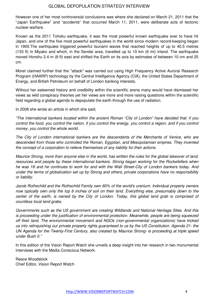However one of her most controversial conclusions was where she declared on March 21, 2011 that the "Japan Earthquake" and "accidents" that occurred March 11, 2011, were deliberate acts of tectonic nuclear warfare.

Known as the 2011 Tohoku earthquake, it was the most powerful known earthquake ever to have hit Japan, and one of the five most powerful earthquakes in the world since modern record-keeping began in 1900.The earthquake triggered powerful tsunami waves that reached heights of up to 40.5 metres (133 ft) in Miyako and which, in the Sendai area, travelled up to 10 km (6 mi) inland. The earthquake moved Honshu 2.4 m (8 ft) east and shifted the Earth on its axis by estimates of between 10 cm and 25 cm.

Moret claimed further that the "attack" was carried out using High Frequency Active Auroral Research Program (HAARP) technology by the Central Intelligence Agency (CIA), the United States Department of Energy, and British Petroleum on behalf of London banking interests.

Without her esteemed history and credibility within the scientific arena many would have dismissed her views as wild conspiracy theories yet her views are more and more raising questions within the scientific field regarding a global agenda to depopulate the earth through the use of radiation.

In 2008 she wrote an article in which she said,

"The international bankers located within the ancient Roman "City of London" have decided that: if you control the food, you control the nation, if you control the energy, you control a region, and if you control money, you control the whole world.

The City of London international bankers are the descendants of the Merchants of Venice, who are descended from those who controlled the Roman, Egyptian, and Mesopotamian empires. They invented the concept of a corporation to relieve themselves of any liability for their actions.

Maurice Strong, more than anyone else in the world, has written the rules for the global takeover of land, resources and people by these international bankers. Strong began working for the Rockefellers when he was 18 and he continues to work for and with the Wall Street-City of London bankers today. And under the terms of globalization set up by Strong and others, private corporations have no responsibility or liability.

Jacob Rothschild and the Rothschild Family own 80% of the world's uranium. Individual property owners now typically own only the top 6 inches of soil on their land. Everything else, presumably down to the center of the earth, is owned by the City of London. Today, this global land grab is comprised of countless local land grabs.

Governments such as the US government are creating Wildlands and National Heritage Sites. And this is proceeding under the justification of environmental protection. Meanwhile, people are being squeezed off their land. The environmental movement and NGOs (non-governmental organizations) have tricked us into relinquishing our private property rights guaranteed to us by the US Constitution. Agenda 21- the UN Agenda for the Twenty-First Century, also created by Maurice Strong- is proceeding at triple speed under Bush II."

In this edition of the Vision Report Watch she unveils a deep insight into her research in two monumental interviews with the Media Conscious Network.

Reece Woodstock Chief Editor, Vision Report Watch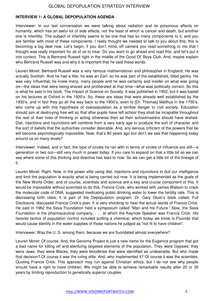#### **INTERVIEW 1: A GLOBAL DEPOPULATION AGENDA**

Interviewer: In our last conversation we were talking about radiation and its poisonous affects on humanity, which has an awful lot of side effects, not the least of which is cancer and death, but another one is infertility. The subject of infertility seems to be one that has so many components to it, and you are familiar with most of these components. I really thought we needed to talk to you about this; this is becoming a big deal now. Let's begin, if you don't mind, off camera you read something to me that I thought was really important for all of us to hear. Do you want to go ahead and read this, and let's put it into context. This is Bertrand Russell right in the middle of the Good Ol' Boys Club. And, maybe explain who Bertrand Russell was and why it is important that he said these words.

Leuren Moret: Bertrand Russell was a very famous mathematician and philosopher in England. He was actually Scottish. And he had a title; he was an Earl, so he was part of the established, titled gentry. He was very influential; he knew many, many people and he was certainly and insider on what was going on—the ideas that were being shared and proliferated at that time—what was politically correct. So this is what he said in his book, The Impact of Science on Society. It was published in 1952, but it was based on his lectures at Oxford in the 1930's. So, these are ideas that were already well established by the 1930's, and in fact they go all the way back to the 1800's, even to [Dr. Thomas] Malthus in the 1700's, who came up with this hypothesis of overpopulation as a terrible danger to civil society. Education should aim at destroying free will so that after pupils have left school they shall be incapable throughout the rest of their lives of thinking or acting otherwise then as their schoolmasters should have wished. Diet, injections and injunctions will combine from a very early age to produce the sort of character and the sort of beliefs that the authorities consider desirable. And, any serious criticism of the powers that be will become psychologically impossible. Now, that's 80 years ago but don't we see that happening today around us on many levels?

Interviewer: Indeed, and in fact, the type of circles he ran with in terms of circles of influence are still—a generation or two out—still very much in power today. If you care to expand on that a little bit so we can see where some of this thinking and directive has lead to now. So we can get a little bit of the lineage of it.

Leuren Moret: Right. Now, in the power elite using diet, injections and injunctions to dull our intelligence and limit the population is exactly what is being carried out now. It is being implemented as the goals of the New World Order, and of course, scientists and science are a key and crucial component of this. It would be impossible without scientists to do this. Francis Crick, who worked with James Watson to crack the molecular code of DNA, suggested medicating public drinking water to lower the fertility rate. This is decreasing birth rates; it is part of the Depopulation program. Dr. Gary Glum's book called, Full Disclosure, discussed Francis Crick's plan. It is very shocking to hear the actual words of Francis Crick. He said in 1962 the Seva Foundation held a symposium called "Man and his Future." Now, the Seva Foundation is the pharmaceutical company. . . . at which the Keynote Speaker was Francis Crick. His favorite tactics of population control included putting a chemical, which today we know is Fluoride that would cause sterility in the water supplies of those nations he judged as "not fit to have children".

Interviewer: Was the U. S. among them, because we are fluoridated almost everywhere?

Leuren Moret: Of course. And, the Genome Project is just a new name for the Eugenics program that got a bad name for killing off and sterilizing targeted elements of the population. They were Gypsies; they were Jews; they were Blacks; they were bloodlines that were identified as undesirable. But who made that decision? Of course it was the ruling elite. And, who implemented it? Of course it was the scientists. Quoting Francis Crick: This approach may run against Christian ethics, but I do not see why people should have a right to have children. We might be able to achieve remarkable results after 20 or 30 years by limiting reproduction to genetically superior couples.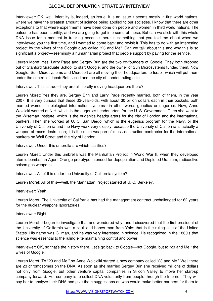Interviewer: OK, well, infertility is, indeed, an issue. It is an issue it seems mostly in first-world nations, where we have the greatest amount of science being applied to our societies. I know that there are other exceptions to that where experiments have been done on people and women in third world nations. The outcome has been sterility, and we are going to get into some of those. But can we stick with this whole DNA issue for a moment in tracking because there is something that you told me about when we interviewed you the first time, and I wanted to come back and revisit it. This has to do with an interesting project by the wives of the Google guys called "23 and Me". Can we talk about this and why this is so significant a project—seemingly a humanitarian project that people support by paying for the service.

Leuren Moret: Yes. Larry Page and Sergey Brin are the two co-founders of Google. They both dropped out of Stanford Graduate School to start Google, and the owner of Sun Microsystems funded them. Now Google, Sun Microsystems and Microsoft are all moving their headquarters to Israel, which will put them under the control of Jacob Rothschild and the city of London ruling elite.

Interviewer: This is true—they are all literally moving headquarters there?

Leuren Moret: Yes they are. Sergey Brin and Larry Page recently married, both of them, in the year 2007. It is very curious that these 32-year-olds, with about 30 billion dollars each in their pockets, both married women in biological information systems—in other words genetics or eugenics. Now, Anne Wojcicki worked at NIH, which is the eugenics headquarters for the U. S. Government. Then she went to the Wiseman Institute, which is the eugenics headquarters for the city of London and the international bankers. Then she worked at U. C. San Diego, which is the eugenics program for the Navy, or the University of California and the Navy work very closely, because the University of California is actually a weapon of mass destruction; it is the main weapon of mass destruction contractor for the international bankers on Wall Street and the city of London.

Interviewer: Under this umbrella are which facilities?

Leuren Moret: Under this umbrella was the Manhattan Project in World War II, when they developed atomic bombs, an Agent Orange prototype intended for depopulation and Depleted Uranium, radioactive poison gas weapons.

Interviewer: All of this under the University of California system?

Leuren Moret: All of this—well, the Manhattan Project started at U. C. Berkeley.

Interviewer: Yeah.

Leuren Moret: The University of California has had the management contract unchallenged for 62 years for the nuclear weapons laboratories.

Interviewer: Right.

Leuren Moret: I began to investigate that and wondered why, and I discovered that the first president of the University of California was a skull and bones man from Yale; that is the ruling elite of the United States. His name was Gillman, and he was very interested in science. He recognized in the 1860's that science was essential to the ruling elite maintaining control and power.

Interviewer: OK, so that's the history there. Let's go back to Google—not Google, but to "23 and Me," the wives of Google.

Leuren Moret: To "23 and Me," so Anne Wojciciki started a new company called "23 and Me." Well there are 23 chromosomes on the DNA. As soon as she married Sergey Brin she received millions of dollars not only from Google, but other venture capital companies in Silicon Valley to move her start-up company forward. Her company is to collect DNA voluntarily from people through the Internet. They will pay her to analyze their DNA and give them suggestions on who would make better partners for them to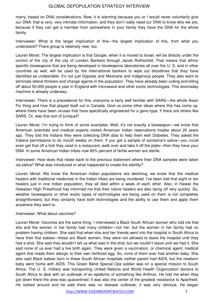marry, based on DNA considerations. Now, it is alarming because you or I would never voluntarily give our DNA: that is very, very intimate information, and they don't really need our DNA to know who we are, because if they can get a member from somewhere in your family they have the DNA for the whole family.

Interviewer: What is the larger implication of this—the largest implication of this, from what you understand? There group is relatively new, too.

Leuren Moret: The largest implication is that Google, when it is moved to Israel, will be directly under the control of the city of the city of London Bankers through Jacob Rothschild. That means that ethnic specific bioweapons that are being developed in bioweapons laboratories all over the U. S. and in other countries as well, will be used by the international bankers to wipe out bloodlines that they have identified as undesirable. It's not just Gypsies and Mexicans and indigenous people. They also want to eliminate lateral thinkers and change agents in the population. They have already been culling and killing off about 50,000 people a year in England with microwave and other exotic technologies. This doomsday machine is already underway.

Interviewer: There is a precedence for this; everyone is fairly well familiar with SARS—the whole Asian Flu thing and how that played itself out in Canada. Give us some other ideas where this has come up, where there have been viruses that have specifically engineered for a geno-type, if there are others like SARS. Or, was that sort of [unique]?

Leuren Moret: I'm trying to think of some examples. Well, it's not exactly a bioweapon—we know that American scientists and medical experts visited American Indian reservations maybe about 20 years ago. They told the Indians they were collecting DNA data to help them with Diabetes. They asked the Indians permissions to do mouth swabs on them. If you get a sample of someone's saliva—you could even get that off a fork they used in a restaurant, walk over and take it off the plate—then they have your DNA. In some American Indian tribes now 80% percent of fertile women are sterile.

Interviewer: How does that relate back to the previous statement where their DNA samples were taken via saliva? What was introduced or what happened to create the sterility?

Leuren Moret: We know the American Indian populations are declining; we know that the medical healers with traditional medicines in the Indian tribes are being murdered. I've been told that eight or ten healers just in one Indian population, they all died within a week of each other. Also, in Hawaii the Hawaiian High Priesthood has informed me that their native healers are also dying off very quickly. So, weather bioweapons or other exotic types of technologies are being used on them is not completely straightforward, but they certainly have both technologies and the ability to use them and apply them anywhere they want to.

#### Interviewer: What about vaccines?

Leuren Moret: Vaccines are the same thing. I interviewed a Black South African woman who told me that she and the women in her family had many children—not her, but the women in her family had no problem having children. She said that when she and her friends went into the hospital in South Africa to have their first babies—these are Black women, they were not allowed to leave the hospital until they had a shot. She said they wouldn't tell us what was in the shot, but we couldn't leave until we had it. She said none of us ever had a live birth again. They were given a vaccination, or chemical agent, medical agent that made them allergic to their own fertilized egg. So, none of them ever had another baby. She also said Black babies born in these South African hospitals neither parent had AIDS, but the newborn baby went home with AIDS. This Green Beret Special Ops soldier was on a special mission to South Africa. The U. S. military was transporting United Nations and World Health Organization doctors to South Africa to deal with an outbreak of an epidemic of something like Anthrax. He told me when they got down there the area was quarantined; it was also the center of the greatest resistance to Apartheid. He looked around and he said there was no disease outbreak; it was very obvious. He began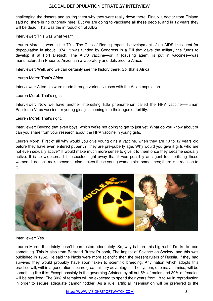challenging the doctors and asking them why they were really down there. Finally a doctor from Finland said no, there is no outbreak here. But we are going to vaccinate all these people, and in 12 years they will be dead. That was the introduction of AIDS.

Interviewer: This was what year?

Leuren Moret: It was in the 70's. The Club of Rome proposed development of an AIDS-like agent for depopulation in about 1974. It was funded by Congress in a Bill that gave the military the funds to develop it at Fort Dietrich. The AIDS vaccine—or, it [causing agent] is put in vaccines—was manufactured in Phoenix, Arizona in a laboratory and delivered to Africa.

Interviewer: Well, and we can certainly see the history there. So, that's Africa.

Leuren Moret: That's Africa.

Interviewer: Attempts were made through various viruses with the Asian population.

Leuren Moret: That's right.

Interviewer: Now we have another interesting little phenomenon called the HPV vaccine—Human Papilloma Virus vaccine for young girls just coming into their ages of fertility.

Leuren Moret: That's right.

Interviewer: Beyond that even boys, which we're not going to get to just yet. What do you know about or can you share from your research about the HPV vaccine in young girls.

Leuren Moret: First of all why would you give young girls a vaccine, when they are 10 to 12 years old before they have even entered puberty? They are pre-puberty age. Why would you give it girls who are not even sexually active? It would make much more sense to give it to them once they became sexually active. It is so widespread I suspected right away that it was possibly an agent for sterilizing these women. It doesn't make sense. It also makes these young women sick sometimes; there is a reaction to it.



Interviewer: Yes.

Leuren Moret: It certainly hasn't been tested adequately. So, why is there this big rush? I'd like to read something. This is also from Bertrand Russell's book, The Impact of Science on Society, and this was published in 1952. He said the Nazis were more scientific then the present rulers of Russia. If they had survived they would probably have soon taken to scientific breeding. Any nation which adopts this practice will, within a generation, secure great military advantages. The system, one may surmise, will be something like this: Except possibly in the governing Aristocracy all but 5% of males and 30% of females will be sterilized. The 30% of females will be expected to spend their years from 18 to 40 in reproduction in order to secure adequate cannon fodder. As a rule, artificial insemination will be preferred to the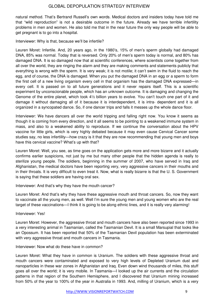natural method. That's Bertrand Russell's own words. Medical doctors and insiders today have told me that "wild reproduction" is not a desirable outcome in the future. Already we have terrible infertility problems in men and women. He also told me that in the near future the only way people will be able to get pregnant is to go into a hospital.

Interviewer: Why is that, because we'll be infertile?

Leuren Moret: Infertile. And, 20 years ago, in the 1980's, 15% of men's sperm globally had damaged DNA, 85% was normal. Today that is reversed. Only 20% of men's sperm today is normal, and 80% has damaged DNA. It is so damaged now that at scientific conferences, where scientists come together from all over the world, they are ringing the alarm and they are making comments and statements publicly that everything is wrong with the sperm. It is very weak; it is not motile; it can't swim in the fluid to reach the egg, and of course, the DNA is damaged. When you put the damaged DNA in an egg or a sperm to form the first cell of a new living organism every cell in that organism has the damaged DNA expressed—in every cell. It is passed on to all future generations and it never repairs itself. This is a scientific experiment by unconscionable people, which has an unknown outcome. It is damaging and changing the Genome of the entire planet, which took 4½ billion years to evolve. You can't touch one part of it and damage it without damaging all of it because it is interdependent, it is intra- dependent and it is all organized in a syncopated dance. So, if one dancer trips and falls it messes up the whole dance floor.

Interviewer: We have dancers all over the world tripping and falling right now. You know it seems as though it is coming from every direction, and it all seems to be pointing to a weakened immune system in mass, and also to a weakened ability to reproduce. If we continue the conversation about the HPV vaccine for little girls, which is very highly debated because it may even cause Cervical Cancer some studies say, no less infertility—how crazy is it that they are now recommending that young men and boys have this cervical vaccine? What's up with that?

Leuren Moret: Well, you see, as time goes on the application gets more and more bizarre and it actually confirms earlier suspicions, not just by me but many other people that the hidden agenda is really to sterilize young people. The soldiers, beginning in the summer of 2007, who have served in Iraq and Afghanistan, the medical doctors have been reporting very, very aggressive cancers in their mouths and in their throats. It is very difficult to even treat it. Now, what is really bizarre is that the U. S. Government is saying that these soldiers are having oral sex.

Interviewer: And that's why they have the mouth cancer?

Leuren Moret: And that's why they have these aggressive mouth and throat cancers. So, now they want to vaccinate all the young men, as well. Well I'm sure the young men and young women who are the real target of these vaccinations—I think it is going to be along ethnic lines, and it is really very alarming!

Interviewer: Yes!

Leuren Moret: However, the aggressive throat and mouth cancers have also been reported since 1993 in a very interesting animal in Tasmanian, called the Tasmanian Devil. It is a small Marsupial that looks like an Opossum. It has been reported that 50% of the Tasmanian Devil population has been exterminated with very aggressive throat and mouth cancers in Tasmania.

Interviewer: Now what do these have in common?

Leuren Moret: What they have in common is Uranium. The soldiers with these aggressive throat and mouth cancers were contaminated and exposed to very high levels of Depleted Uranium dust and nanoparticles in these war zones in Afghanistan and Iraq. Even down wind thousands of miles, this stuff goes all over the world; it is very mobile. In Tasmania—I looked up the air currents and the circulation patterns in that region of the Southern Hemisphere, and I discovered that Uranium mining increased from 50% of the year to 100% of the year in Australia in 1993. And, milling of Uranium, which is a very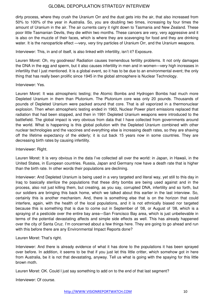dirty process, where they crush the Uranium Orr and the dust gets into the air, that also increased from 50% to 100% of the year in Australia. So, you are doubling two times, increasing by four times the amount of Uranium in the air. The air currents carry it right down to Tasmania and New Zealand. These poor little Tasmanian Devils, they die within two months. These cancers are very, very aggressive and it is also on the muzzle of their faces, which is where they are scavenging for food and they are drinking water. It is the nanoparticle effect —very, very tiny particles of Uranium Orr, and the Uranium weapons.

Interviewer: This, in and of itself, is also linked with infertility, isn't it? Exposure.

Leuren Moret: Oh, my goodness! Radiation causes tremendous fertility problems. It not only damages the DNA in the egg and sperm, but it also causes infertility in men and in women—very high increases in infertility that I just mentioned. It is a global event, so it has to be due to an environmental event; the only thing that has really been prolific since 1945 in the global atmosphere is Nuclear Technology.

#### Interviewer: Yes.

Leuren Moret: It was atmospheric testing; the Atomic Bombs and Hydrogen Bombs had much more Depleted Uranium in them than Plutonium. The Plutonium core was only 20 pounds. Thousands of pounds of Depleted Uranium were packed around that core. That is all vaporized in a thermonuclear explosion. Then when atmospheric testing ended in 1963, Nuclear Power plant emissions replaced that radiation that had been stopped, and then in 1991 Depleted Uranium weapons were introduced to the battlefield. The global impact is very obvious from data that I have collected from governments around the world. What is happening is this global pollution with the Depleted Uranium combined with other nuclear technologies and the vaccines and everything else is increasing death rates, so they are shaving off the lifetime expectancy of the elderly; it is cut back 15 years now in some countries. They are decreasing birth rates by causing infertility.

Interviewer: Right.

Leuren Moret: It is very obvious in the data I've collected all over the world: in Japan, in Hawaii, in the United States, in European countries. Russia, Japan and Germany now have a death rate that is higher than the birth rate. In other words their populations are declining.

Interviewer: And Depleted Uranium is being used in a very targeted and literal way, yet still to this day in Iraq to basically sterilize the populations that these dirty bombs are being used against and in the process, also not just killing them, but creating, as you say, corrupted DNA, infertility and so forth, but our soldiers are bringing this back home, which we talked about this earlier in the last interview. So, certainly this is another mechanism. And, there is something else that is on the horizon that could interfere, again, with the health of the local populations, and it is not ethnically biased nor targeted because this is something that is due to come out in September of '08, or August of '08, which is a spraying of a pesticide over the entire bay area—San Francisco Bay area, which is just unbelievable in terms of the potential devastating affects and simple side effects as well. This has already happened over the city of Santa Cruz. I'm concerned about a few things here. They are going to go ahead and run with this before there are any Environmental Impact Reports done?

Leuren Moret: That's right.

Interviewer: And there is already evidence of what it has done to the populations it has been sprayed over before. In addition, it seems to be that if you just let this little critter, which somehow got in here from Australia, be it is not that devastating, anyway. Tell us what is going with the spaying for this little brown moth.

Leuren Moret: OK. Could I just say something to add on to the end of that last segment?

Interviewer: Of course.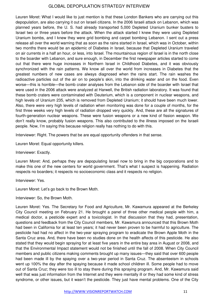Leuren Moret: What I would like to just mention is that these London Bankers who are carrying out this depopulation, are also carrying it out on Israeli citizens. In the 2006 Israeli attack on Lebanon, which was planned years before, the U. S. had already transported 5,000 Depleted Uranium bunker busters to Israel two or three years before the attack. When the attack started I knew they were using Depleted Uranium bombs, and I knew they were grid bombing and carpet bombing Lebanon. I sent out a press release all over the world warning that as soon as the rains started in Israel, which was in October, within two months there would be an epidemic of Diabetes in Israel, because that Depleted Uranium traveled on air currents in a half an hour, or less, into Israel. The mountainous region of Israel is in the north close to the boarder with Lebanon, and sure enough, in December the first newspaper articles started to come out that there were huge increases in Northern Israel in Childhood Diabetes, and it was obviously synchronized with the rain patterns. We know all over the world from increases in Diabetes that the greatest numbers of new cases are always diagnosed when the rains start. The rain washes the radioactive particles out of the air on to people's skin, into the drinking water and on the food. Even worse—this is horrible—the bomb crater analyses from the Lebanon side of the boarder with Israel that were used in the 2006 attack were analyzed at Harwell, the British radiation laboratory. It was found that these bomb craters were contaminated with Deuterium, which is a component in nuclear weapons, and high levels of Uranium 235, which is removed from Depleted Uranium; it should have been much lower. Also, there were very high levels of radiation when monitoring was done for a couple of months, for the first three weeks very high levels of radiation dropped very quickly. And, these are all the signatures of fourth-generation nuclear weapons. These were fusion weapons or a new kind of fission weapon. We don't really know, probably fusion weapons. This also contributed to the illness imposed on the Israeli people. Now, I'm saying this because religion really has nothing to do with this.

Interviewer: Right. The powers that be are equal opportunity offenders in that sense.

Leuren Moret: Equal opportunity killers.

Interviewer: Exactly.

Leuren Moret: And, perhaps they are depopulating Israel now to bring in the big corporations and to make this one of the new centers for world government. That's what I suspect is happening. Radiation respects no boarders; it respects no socioeconomic class and it respects no religion.

Interviewer: Yes.

Leuren Moret: Let's go back to the Brown Moth.

Interviewer: So, the Brown Moth.

Leuren Moret: Yes. The Secretary for Food and Agriculture, Mr. Kawamura appeared at the Berkeley City Council meeting on February 21. He brought a panel of three other medical people with him, a medical doctor, a pesticide expert and a toxicologist. In that discussion that they had, presentation, questions and feedback from the City Council members, Mr. Kawamura announced that this Brown Moth had been in California for at least ten years; it had never been proven to be harmful to agriculture. The pesticide had had no affect in the two-year spraying program to eradicate the Brown Apple Moth in the Santa Cruz area. And, there have been no studies done on the health affects of this pesticide. He also stated that they would begin spraying for at least five years in the entire bay area in August or 2008, and that the Environmental Impact statement would not be finished until the fall of 2008. When City Council members and public citizens making comments brought up many issues—they said that over 600 people had been made ill by the spaying over a two-year period in Santa Cruz. The absenteeism in schools went up 100% the day after the spaying because it made school children ill. Some people had to move out of Santa Cruz; they were too ill to stay there during this spraying program. And, Mr. Kawamura said well that was just information from the Internet and they were mentally ill or they had some kind of stress syndrome, or other issues, but it wasn't the pesticide. They just have mental problems. One of the City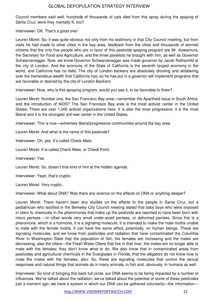Council members said well, hundreds of thousands of cats died from this spray during the spaying of Santa Cruz; were they mentally ill, too?

Interviewer: OK. That's a good one!

Leuren Moret: So, it was quite obvious not only from his testimony in that City Council meeting, but from visits he had made to other cities in the bay area, feedback from the cities and thousands of worried citizens that the only five people who are in favor of this pesticide spaying program are Mr. Kawamura, the Secretary for Food and Agriculture, and the three panelists he brought with him, as well as Governor Schwarzenegger. Now, we know Governor Schwarzenegger was made governor by Jacob Rothschild at the city of London. And the economy of the State of California is the seventh largest economy in the world, and California has no debt. The city of London bankers are absolutely drooling and slobbering over the tremendous wealth that California has, so he has put in a governor will implement programs that are favorable or desired by the city of London Bankers.

Interviewer: Now, why is this spraying program, would you see it, to be favorable to them?

Leuren Moret: Number one, the San Francisco Bay area—remember the Apartheid issue in South Africa, and the introduction of AIDS? The San Francisco Bay area is the most activist center in the United States. There are over 1,000 activist organizations here. It is also the most progressive; it is the most liberal and it is the strongest anti-war center in the United States.

Interviewer: This is true—extremely liberal/progressive communities around the bay area.

Leuren Moret: And what is the name of this pesticide?

Interviewer: Oh, yes. It's called Check Mate.

Leuren Moret: It is called Check Mate, or Check Point.

Interviewer: Yes.

Leuren Moret: So, doesn't that kind of hint at the hidden agenda.

Interviewer: Yeah, that's cryptic.

Leuren Moret: Very cryptic.

Interviewer: What about DNA? Was there any science on the effects on DNA or anything deeper?

Leuren Moret: There haven't been any studies on the affects to the people in Santa Cruz, but a pediatrician who testified in the Berkeley City Council meeting stated that baby boys who were exposed in utero to chemicals in the pheromones that make up the pesticide are reported to have been born with micro penises —in other words very small under-sized penises, or deformed penises. Since this is a pheromone, which is a hormone, it is a signaling molecule; it is intended to make the male moths unable to mate with the female moths. It can have the same affect, potentially, on human beings. These are signaling molecules, and we know from pesticides and radiation that have contaminated the Columbia River in Washington State that the population of fish, the females are increasing and the males are decreasing, also the otters—the Fresh Water Otters that live in that river, the males are no longer able to mate with the females; they don't know what to do. We also know that in contaminated areas from pesticides and agricultural chemicals in the Everglades in Florida, that the alligators do not know how to mate the males with the females, also. So, these are signaling molecules that control the sexual responses and natural things that animals do in many animals, in fish and, obviously, in humans as well.

Interviewer: So kind of bringing this back full circle, our DNA seems to be being impacted by a number of influences. We've talked about the radiation; we've talked about the potential of some of these pesticides just a moment ago; we have a system in which our DNA can be gathered voluntarily—the information—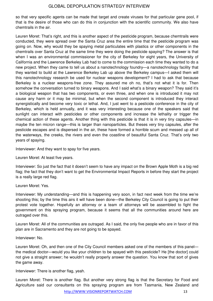so that very specific agents can be made that target and create viruses for that particular gene pool, if that is the desire of those who can do this in conjunction with the scientific community. We also have chemtrails in the air.

Leuren Moret: That's right, and this is another aspect of the pesticide program, because chemtrails were conducted, they were spread over the Santa Cruz area the entire time that the pesticide program was going on. Now, why would they be spaying metal particulates with plastics or other components in the chemtrails over Santa Cruz at the same time they were doing the pesticide spaying? The answer is that when I was an environmental commissioner for the city of Berkeley for eight years, the University of California and the Lawrence Berkeley Lab had to come to the commission each time they wanted to do a new project. When they came to tell us about a nanotechnology foundry—a nanotechnology facility that they wanted to build at the Lawrence Berkeley Lab up above the Berkeley campus—I asked them will this nanotechnology research be used for nuclear weapons development? I had to ask that because Berkeley is a nuclear weapons-free zone. They assured me oh no, that's not what it is for. Then somehow the conversation turned to binary weapons. And I said what's a binary weapon? They said it's a biological weapon that has two components, or even three, and when one is introduced it may not cause any harm or it may be minimal, but when the second component is introduced they interact synergistically and become very toxic or lethal. And, I just went to a pesticide conference in the city of Berkeley, which is held annually, and it was very interesting because one of the speakers said that sunlight can interact with pesticides or other components and increase the lethality or trigger the chemical action of these agents. Another thing with this pesticide is that it is in very tiny capsules—in maybe the ten micron range—this is larger than nanoparticles. But theses very tiny capsules, after the pesticide escapes and is dispersed in the air, these have formed a horrible scum and messed up all of the waterways, the creeks, the rivers and even the coastline of beautiful Santa Cruz. That's only two years of spaying.

Interviewer: And they want to spay for five years.

Leuren Moret: At least five years.

Interviewer: So just the fact that it doesn't seem to have any impact on the Brown Apple Moth is a big red flag; the fact that they don't want to get the Environmental Impact Reports in before they start the project is a really large red flag.

Leuren Moret: Yes.

Interviewer: My understanding—and this is happening very soon, in fact next week from the time we're shooting this; by the time this airs it will have been done—the Berkeley City Council is going to put their protest vote together. Hopefully an attorney or a team of attorneys will be assembled to fight the government on this spraying program, because it seems that all the communities around here are outraged over this.

Leuren Moret: All of the communities are outraged. As I said, the only five people who are in favor of this plan are in Sacramento and they are not going to be spayed.

Interviewer: No.

Leuren Moret: Oh, and then one of the City Council members asked one of the members of this panel the medical doctor—would you like your children to be spayed with this pesticide? He [the doctor] could not give a straight answer; he wouldn't really properly answer the question. You know that sort of gives the game away.

Interviewer: There is another flag, yeah.

Leuren Moret: There is another flag. But another very strong flag is that the Secretary for Food and Agriculture said our consultants on this spraying program are from Tasmania, New Zealand and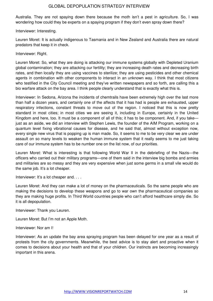Australia. They are not spaying down there because the moth isn't a pest in agriculture. So, I was wondering how could they be experts on a spaying program if they don't even spray down there?

Interviewer: Interesting.

Leuren Moret: It is actually indigenous to Tasmania and in New Zealand and Australia there are natural predators that keep it in check.

#### Interviewer: Right.

Leuren Moret: So, what they are doing is attacking our immune systems globally with Depleted Uranium global contamination; they are attacking our fertility; they are increasing death rates and decreasing birth rates, and then locally they are using vaccines to sterilize; they are using pesticides and other chemical agents in combination with other components to interact in an unknown way. I think that most citizens who testified in the City Council meeting and they've written newspapers and so forth, are calling this a bio warfare attack on the bay area. I think people clearly understand that is exactly what this is.

Interviewer: In Sedona, Arizona the incidents of chemtrails have been extremely high over the last more than half a dozen years, and certainly one of the affects that it has had is people are exhausted, upper respiratory infections, constant threats to move out of the region. I noticed that this is now pretty standard in most cities; in most cities we are seeing it, including in Europe, certainly in the United Kingdom and here, too. It must be a component of all of this; it has to be component. And, if you take just as an aside, we did an interview with Stephen Lewis, the founder of the AIM Program, working on a quantum level fixing vibrational causes for disease, and he said that, almost without exception now, every single new virus that is popping up is man made. So, it seems to me to be very clear we are under assault on so many levels to weaken the human immune system that it really seems to me just taking care of our immune system has to be number one on the list now, of our priorities.

Leuren Moret: What is interesting is that following World War II in the debriefing of the Nazis—the officers who carried out their military programs—one of them said in the interview big bombs and armies and militaries are so messy and they are very expensive when just some germs in a small vile would do the same job. It's a lot cheaper.

Interviewer: It's a lot cheaper and. . . .

Leuren Moret: And they can make a lot of money on the pharmaceuticals. So the same people who are making the decisions to develop these weapons and go to war own the pharmaceutical companies so they are making huge profits. In Third World countries people who can't afford healthcare simply die. So it is all depopulation.

Interviewer: Thank you Leuren.

Leuren Moret: But I'm not an Apple Moth.

Interviewer: Nor am I!

Interviewer: As an update the bay area spraying program has been delayed for one year as a result of protests from the city governments. Meanwhile, the best advice is to stay alert and proactive when it comes to decisions about your health and that of your children. Our instincts are becoming increasingly important in this arena.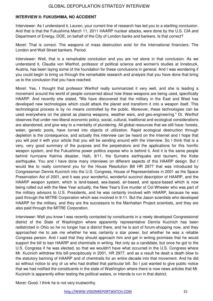#### **INTERVIEW II: FUKUSHIMA, NO ACCIDENT**

Interviewer: As I understand it, Leuren, your current line of research has led you to a startling conclusion. And that is that the Fukushima March 11, 2011 HAARP nuclear attacks, were done by the U.S. CIA and Department of Energy, DOE, on behalf of the City of London banks and bankers. Is that correct?

Moret: That is correct. The weapons of mass destruction exist for the international financiers. The London and Wall Street bankers. Period.

Interviewer: Well, that is a remarkable conclusion and you are not alone in that conclusion. As we understand it, Claudia von Werlhof, professor of political science and women's studies at Innsbruck, Austria, has been laying some of the foundation for these conclusions in general. And I was wondering if you could begin to bring us through the remarkable research and analysis that you have done that bring us to the conclusion that you have reached.

Moret: Yes, I thought that professor Werlhof really summarized it very well, and she is leading a movement around the world of people concerned about how these weapons are being used, specifically HAARP. And recently she stated, "We have discovered that the military in the East and West has developed new technologies which could attack the planet and transform it into a weapon itself. This technological process is by no means controlled by the public. Moreover, these technologies can be used everywhere on the planet as plasma weapons, weather wars, and geo-engineering." Dr. Werlhof observes that under neo-liberal economic policy, social, cultural, traditional and ecological considerations are abandoned, and give way to a mentality of plundering. All global resources that we still have: forests, water, genetic pools, have turned into objects of utilization. Rapid ecological destruction through depletion is the consequence, and actually this interview can be heard on the Internet and I hope that you will post it with your article that you will be sending around with the interview. So I think that is a very, very good summary of the purpose and the perpetrators and the applications for this horrific weapon system, and the Fukushima power politics expose who is behind it. And it is the same people behind hurricane Katrina disaster, Haiti, 9/11, the Sumatra earthquake and tsunami, the Kobe earthquake. You and I have done many interviews on different aspects of this HAARP design. But I would like to really commend you for the House Resolution Bill HR 2977 that was introduced by Congressman Dennis Kucinich into the U.S. Congress, House of Representatives in 2001 as the Space Preservation Act of 2001, and it was your wonderful, wonderful succinct description of HAARP, and the HAARP weapon system, which is land-based, sea-based, air-based, and space-based which is now being rolled out with the New Year actually, the New Year's Eve murder of Col Wheeler who was part of the military advisors to U.S. Presidents, and he was certainly involved with HAARP, because he was paid through the MITRE Corporation which was involved in 9-11. But the Jason scientists who developed HAARP for the military, and they are the successors to the Manhattan Project scientists, and they are also paid through the MITRE Corporation.

Interviewer: Well you know I was recently contacted by constituents in a newly developed Congressional district of the State of Washington where apparently representative Dennis Kucinich has been redistricted in Ohio so he no longer has a district there, and he is sort of forum-shopping now, and they approached me to ask me whether he was certainly a star power, but whether he was a reliable Congress person. And I said that they should approach him and get in writing promises that he would support the bill to ban HAARP and chemtrails in writing. Not only as a candidate, but once he got to the U.S. Congress if he was elected, so that we wouldn't have what occurred in the U.S. Congress where Mr. Kucinich withdrew this bill precipitously in 2001, HR 2977, and as a result he dealt a death blow to the statutory banning of HAARP and of chemtrails for an entire decade into that movement. And he did so without notice to any of us who had drafted that particular bill. So I just wanted to give public notice that we had notified the constituents in the state of Washington where there is now news articles that Mr. Kucinich is apparently either testing the political waters, or intends to run in that district.

Moret: Good. I think he is not very trustworthy.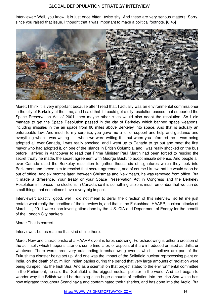Interviewer: Well, you know, it is just once bitten, twice shy. And these are very serious matters. Sorry, since you raised that issue, I thought that it was important to make a political footnote. [8:45]



Moret: I think it is very important because after I read that, I actually was an environmental commissioner in the city of Berkeley at the time, and I said that if I could get a city resolution passed that supported the Space Preservation Act of 2001, then maybe other cities would also adopt the resolution. So I did manage to get the Space Resolution passed in the city of Berkeley which banned space weapons, including missiles in the air space from 60 miles above Berkeley into space. And that is actually an enforceable law. And much to my surprise, you gave me a lot of support and help and guidance and everything when I was writing it -- when we were writing it -- but when you informed me it was being adopted all over Canada, I was really shocked, and I went up to Canada to go out and meet the first mayor who had adopted it, on one of the islands in British Columbia, and I was really shocked on the bus before I arrived in Vancouver to read that Prime Minister Paul Martin had been forced to rescind the secret treaty he made, the secret agreement with George Bush, to adopt missile defense. And people all over Canada used the Berkeley resolution to gather thousands of signatures which they took into Parliament and forced him to rescind that secret agreement, and of course I knew that he would soon be out of office. And six months later, between Christmas and New Years, he was removed from office. But it made a difference. Your treaty or your Space Preservation Act in Congress and the Berkeley Resolution influenced the elections in Canada, so it is something citizens must remember that we can do small things that sometimes have a very big impact.

Interviewer: Exactly, good, well I did not mean to derail the direction of this interview, so let me just restate what really the headline of the interview is, and that is the Fukushima, HAARP, nuclear attacks of March 11, 2011 were upon investigation done by the U.S. CIA and Department of Energy for the benefit of the London City bankers.

Moret: That is correct.

Interviewer: Let us resume that kind of line there.

Moret: Now one characteristic of a HAARP event is foreshadowing. Foreshadowing is either a creation of the act itself, which happens later on, some time later, or aspects of it are introduced or used as drills, or whatever. There were three very outstanding foreshadowing events which I believe are part of the Fukushima disaster being set up. And one was the impact of the Sellafield nuclear reprocessing plant on India, on the death of 25 million Indian babies during the period that very large amounts of radiation were being dumped into the Irish Sea. And as a scientist on that project stated to the environmental committee in the Parliament, he said that Sellafield is the biggest nuclear polluter in the world. And so I began to wonder why the British would be dumping such huge amounts of radiation into the Irish Sea which has now migrated throughout Scandinavia and contaminated their fisheries, and has gone into the Arctic. But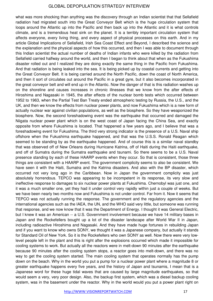what was more shocking than anything was the discovery through an Indian scientist that that Sellafield radiation had migrated south into the Great Conveyor Belt which is the huge circulation system that loops around the Atlantic up into the Pacific and then back up into the Atlantic and it is what controls climate, and is a tremendous heat sink on the planet. It is a terribly important circulation system that affects everyone, every living thing, and every aspect of physical processes on this earth. And in my article Global Implications of Sellafield, Irish Sea Coast Effect and Beyond, I described the science and the explanation and the physical aspects of how this occurred, and then I was able to document through this Indian scientist the actual number of deaths of Indian infants who were killed by the radiation from Sellafield carried halfway around the world, and then I began to think about that when as the Fukushima disaster rolled out and I realized they are doing exactly the same thing in the Pacific from Fukushima. And that radiation is being leaked into the sea. It is being picked up by coastal currents and getting into the Great Conveyor Belt. It is being carried around the North Pacific, down the coast of North America, and then it sort of circulates out around the Pacific in a great gyre, but it also becomes incorporated in the great conveyor belt and will end up in the Atlantic. Now the danger of that is this radiation washes up on the shoreline and causes increases in chronic illnesses that we know from the after effects of Hiroshima and Nagasaki in 1945, the after effects of the nuclear bomb tests which occurred between 1952 to 1963, when the Partial Test Ban Treaty ended atmospheric testing by Russia, the U.S., and the UK, and then we know the effects from nuclear power plants, and now Fukushima which is a new form of actually nuclear war against civilian populations, as well as the biosphere. So they have weaponized the biosphere. Now, the second foreshadowing event was the earthquake that occurred and damaged the Niigata nuclear power plant which is on the west coast of Japan facing the China Sea, and exactly opposite from where Fukushima is located. That happened a few years ago, and I believe that was a foreshadowing event for Fukushima. The third very strong indicator is the presence of a U.S. Naval ship offshore when the Fukushima earthquake happened, and that was the U.S.S. Ronald Reagan which seemed to be standing by as the earthquake happened. And of course this is a similar naval standby that was observed off of New Orleans during Hurricane Katrina, off of Haiti during the Haiti earthquake, and off of Sumatra during the Sumatra earthquake and tsunami. So there seems to be a U.S. Naval presence standing by each of these HAARP events when they occur. So that is consistent, those three things are consistent with a HAARP event. The government complicity seems to also be consistent. We have seen it with the Haiti, Sumatra and the Katrina disasters. And also with the BP disaster, which occurred not very long ago in the Caribbean. Now in Japan the government complicity was just absolutely horrendous. TEPCO was appearing to be incompetent in its response, its very slow and ineffective response to damages to six nuclear power plants at Fukushima. Chernobyl was just one, and it was a much smaller one, yet they had it under control very rapidly within just a couple of weeks. But we have been nearly two months now and Fukushima is not under control. Far from it. Now it seems that TEPCO was not actually running the response. The government and the regulatory agencies and the international agencies such as the IAEA, the UN, and the WHO said very little, but someone was running that response, and we now know that it was the Department of Energy. I thought it was General Electric, but I knew it was an American -- a U.S. Government involvement because we have 14 military bases in Japan and the Rockefellers bought up a lot of the disaster landscape after World War II in Japan, including radioactive Hiroshima and Nagasaki. And they have made huge fortunes in rebuilding Japan and if you want to know who owns SONY, we thought it was a Japanese company, but actually it stands for Standard Oil of New York. So it is the Rockefellers who own SONY as well. Now there were very lowlevel people left in the plant and this is right after the explosions occurred which made it impossible for cooling systems to work. But actually all the reactors were in melt-down 90 minutes after the earthquake because 90 minutes after the cooling system stops, a reactor goes into melt-down, and there was no way to get the cooling system started. The main cooling system that operates normally has the pump down on the beach. Why in the world you put a pump for a nuclear power plant where a magnitude 8 or greater earthquake happens every five years, and the history of Japan and tsunamis, I mean that is a Japanese word for these huge tidal waves that are caused by large magnitude earthquakes, so that would seem a very, very poor design. Also, the backup first system, which was a diesel backup cooling system, was in the basement under the reactor. Why in the world would you put a power plant right on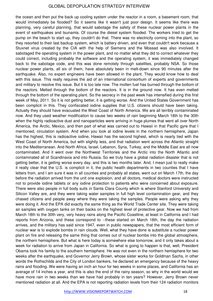the ocean and then put the back up cooling system under the reactor in a room, a basement room, that would immediately be flooded? So it seems like it wasn't just poor design. It seems like there was planning, very careful planning, that would sabotage the safety of these nuclear power plants in the event of earthquakes and tsunamis. Of course the diesel system flooded. The workers tried to get the pump on the beach to start up, they couldn't do that. There was no electricity coming into the plant, so they resorted to their last backup system, which is battery driven, and even that couldn't work because a Stuxnet virus created by the CIA with the help of Siemens and the Mossad was also involved. It sabotaged the operating system in the power plant, and no matter what they did to correct whatever they could correct, including probably the software and the operating system, it was immediately changed back to the sabotage code, and this was done remotely through satellites, probably NSA. So those nuclear power plants, all six of them, have absolutely been in melt-down since 90 minutes after the earthquake. Also, no expert engineers have been allowed in the plant. They would know how to deal with this issue. This really requires the aid of an international consortium of experts and governments and military to resolve this issue. But it is too late now. The molten fuel has burned through the bottom of the reactors. Melted through the bottom of the reactors. It is in the ground now. It has even melted through the bottom of the operating plant. So the secrecy in the past week has intensified during this first week of May, 2011. So it is not getting better, it is getting worse. And the United States Government has been complicit in this. They confiscated iodine supplies that U.S. citizens should have been taking. Actually they should have evacuated the West Coast of North America. We are all terribly contaminated now. And they used weather modification to cause two weeks of rain beginning March 18th to the 30th when the highly radioactive dust and nanoparticles were arriving in huge plumes that went all over North America, the Arctic, Mexico, and then part of what was carried out to Hawaii in that Pacific gyre that I mentioned, circulation system. And when you look at iodine levels in the northern hemisphere, Japan has the highest, this is radioactive iodine, Hawaii has the second highest, which is nearly tied with the West Coast of North America, but with slightly less, and that radiation went across the Atlantic straight into the Mediterranean. And North Africa, Israel, Lebanon, Syria, Turkey, and the Middle East are all now contaminated. And it went over the Northwest Territories and the Arctic into the North Atlantic and contaminated all of Scandinavia and into Russia. So we truly have a global radiation disaster that is not getting better, it is getting worse every day, and this is two months later. And, I mean just to really make it really clear that the U.S. is complicit in it, the public health departments in two counties that I have letters from, and I am sure it was in all counties and probably all states, went out on March 17th, the day before the radiation arrived from the unit one explosion, and all doctors, medical doctors were instructed not to provide iodine tablets or any iodine protection to patients who were concerned about exposure. There were also people in full body suits in Santa Clara County which is where Stanford University and Silicon Valley are, and they were taking water samples in full high level contamination gear, and they chased citizens and people away where they were taking the samples. People were asking why they were doing it. And the EPA did exactly the same thing as the World Trade Center site. They were taking air samples with oxygen tanks on their backs on the highest level of protective gear. Now we had from March 18th to the 30th very, very heavy rains along the Pacific Coastline, at least in California and I had reports from Arizona, and these correspond to --these started on March 18th, the day the radiation arrives, and the military has said since 1947, even in public newspapers, that the most efficient form of nuclear war is to explode bombs in rain clouds. Well, what they have done is substitute a nuclear power plant on fire and releasing the same thing that comes out of nuclear bombs into the global atmosphere, the northern hemisphere. But what is here today is somewhere else tomorrow, and it only takes about a week for radiation to arrive from Japan in California. So what is going to happen is that, well, President Obama took his family to the southern hemisphere. He was not even in the northern hemisphere for two weeks after the earthquake, and Governor Jerry Brown, whose sister works for Goldman Sachs, in other words the Rothschilds and the City of London bankers, he declared an emergency because of the heavy rains and flooding. We were having an inch an hour for two weeks in some places, and California has an average of 14 inches a year, and this is also the end of the rainy season, so why in the world would we have more rain in two weeks than we have had probably in ten years? However, Jerry Brown never mentioned radiation at all. And the EPA is not reporting radiation levels from their 124 radiation monitors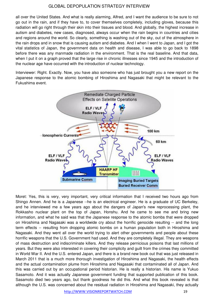all over the United States. And what is really alarming, Alfred, and I want the audience to be sure to not go out in the rain, and if they have to, to cover themselves completely, including gloves, because this radiation will go right through their skin into their tissues and blood. And globally, the highest increase in autism and diabetes, new cases, diagnosed, always occur when the rain begins in countries and cities and regions around the world. So clearly, something is washing out of the sky, out of the atmosphere in the rain drops and in snow that is causing autism and diabetes. And I when I went to Japan, and I got the vital statistics of Japan, the government data on health and disease, I was able to go back to 1898 before there was any manmade radiation in the environment. That is the real baseline. And that data, when I put it on a graph proved that the large rise in chronic illnesses since 1945 and the introduction of the nuclear age have occurred with the introduction of nuclear technology.

Interviewer: Right. Exactly. Now, you have also someone who has just brought you a new report on the Japanese response to the atomic bombing of Hiroshima and Nagasaki that might be relevant to the Fukushima event.



Moret: Yes, this is very, very important, very critical information that I received two hours ago from Shingo Annen. And he is a Japanese --he is an electrical engineer. He is a graduate of UC Berkeley, and he interviewed me a few years ago about the dangers of Japan's new reprocessing plant, the Rokkasho nuclear plant on the top of Japan, Honshu. And he came to see me and bring new information, and what he said was that the Japanese response to the atomic bombs that were dropped on Hiroshima and Nagasaki was a worldwide cry about the horrific genocide resulting -- and the long term effects -- resulting from dropping atomic bombs on a human population both in Hiroshima and Nagasaki. And they went all over the world trying to alert other governments and people about these horrific weapons that the U.S. Government had used. And they are completely illegal. They are weapons of mass destruction and indiscriminate killers. And they release pernicious poisons that last millions of years. But they were also interested in covering their complicity and guilt from the crimes they committed in World War II. And the U.S. entered Japan, and there is a brand new book out that was just released in March 2011 that is a much more thorough investigation of Hiroshima and Nagasaki, the health effects and the actual contamination plume from Hiroshima and Nagasaki that contaminated all of Japan. And this was carried out by an occupational period historian. He is really a historian. His name is Yukuo Sasamoto. And it was actually Japanese government funding that supported publication of this book. Sasamoto died two years ago, but thank goodness he did this. And what this book revealed is that although the U.S. was concerned about the residual radiation in Hiroshima and Nagasaki, they actually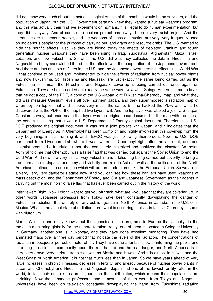did not know very much about the actual biological effects of the bombing would be on survivors, and the population of Japan, but the U.S. Government certainly knew they wanted a nuclear weapons program, and this was actually their first live experiment on humans. It is illegal to do human experimentation, but they did it anyway. And of course the nuclear project has always been a very racist project. And the Japanese are indigenous people, and the weapons of mass destruction are very, very frequently used on indigenous people for the purpose of carrying out land grabs and resource grabs. The U.S. wanted to hide the horrific effects, just like they are hiding today the effects of depleted uranium and fourth generation nuclear weapons they have been using in Iraq, Yugoslavia, Afghanistan, Gaza, Israel, Lebanon, and now Fukushima. So what the U.S. did was they collected the data in Hiroshima and Nagasaki and they sandwiched it and hid the effects with the cooperation of the Japanese government. And there are lots and lots of filters in the U.S. and the Japanese governments in effect since World War II that continue to be used and implemented to hide the effects of radiation from nuclear power plants and now Fukushima. So Hiroshima and Nagasaki are just exactly the same being carried out as the Fukushima -- I mean the Hiroshima and Nagasaki cover-up is being carried out once again on Fukushima. They are being carried out exactly the same way. Now what Shingo Annen told me today is that he got a copy of the PDF, a copy of the U.S.-Japan joint Fukushima-Chernobyl map, and what they did was measure Caesium levels all over northern Japan, and they superimposed a radiation map of Chernobyl on top of that and it looks very much the same. But he hacked the PDF, and what he discovered was the PDF of the map had two layers to it. And the top layer was labeled a joint U.S.-Japan Caesium survey, but underneath that layer was the original base document of the map with the title at the bottom indicating that it was a U.S. Department of Energy original document. Therefore the U.S.- DOE produced the original document. It was not a joint project with Japan, and it indicates that the Department of Energy as in Chernobyl has been complicit and highly involved in this cover-up from the very beginning, in fact, running it, and TEPCO was just following their orders. Now the U.S. DOE personnel from Livermore Lab where I was, where at Chernobyl right after the accident, and one scientist produced a fraudulent report that completely minimized and sanitized that disaster. An Indian Admiral told me that Chernobyl was a false flag that was carried out against the Soviet Union to end the Cold War. And now in a very similar way Fukushima is a false flag being carried out covertly to bring a transformation to Japan's economy and viability and role in Asia as well as the unification of the North American continent into one region which will be run or structured like the European Union. So we are in a very, very, very dangerous stage now. And you can see how these bankers have used weapons of mass destruction, and the Department of Energy and CIA and Japanese Government as their agents in carrying out the most horrific false flag that has ever been carried out in the history of the world.

Interviewer: Right. Now I didn't want to get you off track, what are --you say that they are covering up, in other words Japanese professors from Tokyo have been constantly downplaying the danger of Fukushima radiation. It is entirely off any public agenda in North America, in Canada, in the U.S. or in Mexico. What is the actual state of radiation here, what is occurring if this is in fact six Chernobyls, some with plutonium.

Moret: Well, no one really knows, but the agencies of the programs in Europe that actually do the radiation monitoring globally for the nonproliferation treaty, one of them is located in Cologne University in Germany, another one is in Norway, and they have done excellent monitoring. They have had animated maps over a three day period that indicate the levels of the radiation. The concentrations of radiation in becquerel per cubic meter of air. They have done a fantastic job of informing the public and informing the scientific community about the real hazard and the real danger, and North America is in very, very grave, very serious trouble as well as Alaska and Hawaii. And it is almost in Hawaii and the West Coast of North America, it is not that much less than in Japan. So we have years ahead of very large increases in chronic illnesses, decrease in fertility, and already because of nuclear power plants in Japan and Chernobyl and Hiroshima and Nagasaki, Japan had one of the lowest fertility rates in the world, in fact their death rates are higher than their birth rates, which means their populations are shrinking. Now the Japanese professors, and almost all of them were from Tokyo and Nagasaki universities have been on television constantly downplaying the harm from Fukushima radiation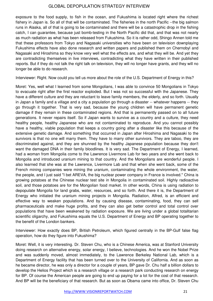exposure to the food supply, to fish in the ocean, and Fukushima is located right where the richest fishery in Japan is. So all of that will be contaminated. The fisheries in the north Pacific --the big salmon runs in Alaska, all of that is going to be contaminated and there will be a catastrophic drop in the fishing catch, I can guarantee, because just bomb-testing in the North Pacific did that, and that was not nearly as much radiation as what has been released from Fukushima. So it is rather odd, Shingo Annen told me that these professors from Tokyo and Nagasaki universities who have been on television downplaying Fukushima effects have also done research and written papers and published them on Chernobyl and Nagasaki and Hiroshima so they know very well what the effects are, and what they will be. And yet they are contradicting themselves in live interviews, contradicting what they have written in their published reports. But if they do not talk the right talk on television, they will no longer have grants, and they will no longer be able to do research.

Interviewer: Right. Now could you tell us more about the role of the U.S. Department of Energy in this?

Moret: Yes, well what I learned from some Mongolians, I was able to convince 50 Mongolians in Tokyo to evacuate right after the first reactor exploded. But I was not so successful with the Japanese. They have a different culture and they are reluctant to leave family members, the elderly, and so forth. Usually in Japan a family and a village and a city a population go through a disaster -- whatever happens -- they go through it together. That is very sad, because the young children will have permanent genetic damage if they remain in these contaminated regions. And that is permanently passed on to all future generations. It never repairs itself. So if Japan wants to survive as a country and a culture, they need healthy people, healthy Japanese who are not contaminated to reproduce. And you cannot possibly have a healthy, viable population that keeps a country going after a disaster like this because of the extensive genetic damage. And something that occurred in Japan after Hiroshima and Nagasaki to the survivors is that no one will marry them. They have to marry other survivors. They are taboo, they are discriminated against, and they are shunned by the healthy Japanese population because they don't want the damaged DNA in their family bloodlines. It is very sad. The Department of Energy, I learned, had a woman from Mongolia come to the Lawrence Livermore Lab for two years and she went back to Mongolia and introduced uranium mining to that country. And the Mongolians are wonderful people. I also learned that she was at the Lawrence, Livermore Lab and that when she went back, some of the French mining companies were mining the uranium, contaminating the whole environment, the water, the people, and I just said "I bet AREVA, the big nuclear power company in France is involved." China is growing potatoes at the Chinese nuclear test site in Mongolia in contaminated soil. Highly radioactive soil, and those potatoes are for the Mongolian food market. In other words, China is using radiation to depopulate Mongolia for land grabs, water, resources, and so forth. And there it is, the Department of Energy who initiated the uranium mining projects in Mongolia. Radiation, Alfred, is an efficient and effective way to weaken populations. And by causing disease, contaminating, food, they can sell pharmaceuticals and make huge profits, and they can also get better control and total control over populations that have been weakened by radiation exposure. We are living under a global totalitarian scientific oligarchy, and Fukushima equals the U.S. Department of Energy and BP operating together to the benefit of the London bankers.

Interviewer: How exactly does BP, British Petroleum, which figured centrally in the BP-Gulf false flag operation, how do they figure into Fukushima?

Moret: Well, it is very interesting. Dr. Steven Chu, who is a Chinese America, was at Stanford University doing research on alternative energy, solar energy, I believe, technologies. And he won the Nobel Prize and was suddenly moved, almost immediately, to the Lawrence Berkeley National Lab, which is a Department of Energy facility that has been turned over to the University of California. And as soon as he became director, he was only a director for a couple of years, BP gave Dr. Chu half a billion dollars to develop the Helios Project which is a research village or a research park conducting research on energy for BP. Of course the American people are going to end up paying for a lot for the cost of that research. And BP will be the beneficiary of that research. But as soon as Obama came into office, Dr. Steven Chu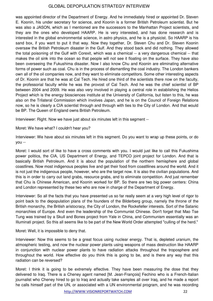was appointed director of the Department of Energy. And he immediately hired or appointed Dr. Steven E. Koonin, his under secretary for science, and Koonin is a former British Petroleum scientist. But he was also a JASON, which as I mentioned are the successors to the Manhattan Project scientists, and they are the ones who developed HAARP. He is very interested, and has done research and is interested in the global environmental science, in astro physics, and he is a physicist. So HAARP is his sand box, if you want to put it that way. Now they together, Dr. Steven Chu and Dr. Steven Koonin oversaw the British Petroleum disaster in the Gulf. And they stood back and did nothing. They allowed the total poisoning of the Gulf with Corexit, which was a chemical -- a very dangerous chemical -- that makes the oil sink into the ocean so that people will not see it floating on the surface. They have also been overseeing the Fukushima disaster. Now I also know Chu and Koonin are eliminating alternative forms of power such as coal. Chu is in the process of dismantling the coal industry. The London bankers own all of the oil companies now, and they want to eliminate competitors. Some other interesting aspects of Dr. Koonin are that he was at Cal Tech. He hired one third of the scientists there now on the faculty, the professorial faculty while he was the provost of Cal Tech. And he was the chief scientist of BP between 2004 and 2009. He was also very involved in playing a central role in establishing the Helios Project which is the energy biosciences institute at the University of California, but listen to this, he was also on the Trilateral Commission which involves Japan, and he is on the Council of Foreign Relations now, so he is clearly a CIA scientist through and through with ties to the City of London. And that would be BP. The Queen of England owns British Petroleum.

Interviewer: Right. Now we have just about six minutes left in this segment --

Moret: We have what? I couldn't hear you?

Interviewer: We have about six minutes left in this segment. Do you want to wrap up these points, or do you --

Moret: I would sort of like to have a cross comments with you. I would just like to call this Fukushima power politics, the CIA, US Department of Energy, and TEPCO joint project for London. And that is basically British Petroleum. And it is about the population of the northern hemisphere and global coastlines. Now most indigenous peoples live and get their food from coastllines around the world. And it is not just the indigenous people, however, who are the target now. It is also the civilian populations. And this is in order to carry out land grabs, resource grabs, and to eliminate competition. And just remember that Chu is Chinese American, and Koonin worked for BP. So there are two big power centers: China and London represented by these two who are now in charge of the Department of Energy.

Interviewer: So all the facts that you have presented us so far really seem at a very high level of rigor to point back to the depopulation plans of the founders of the Bilderberg group, namely the throne of the British monarchy, the British aristocracy, the City of London, the Rockefeller interests. Sort of the Satanic monarchies of Europe. And even the leadership of the Communist Chinese. Don't forget that Mao Tse Tung was trained by a Skull and Bones project from Yale in China, and Communism essentially was an Illuminati project. So this all seems like to be part of the New World Order attempted "culling of the herd."

Moret: Well, it is impossible to deny that.

Interviewer: Now this seems to be a great focus using nuclear energy. That is, depleted uranium, the atmospheric testing, and now the nuclear power plants using weapons of mass destruction like HAARP in conjunction with nuclear power plants to have radiation attacks throughout the troposphere and throughout the world. How effective do you think this is going to be, and is there any way that this radiation can be reversed?

Moret: I think it is going to be extremely effective. They have been measuring the dose that they delivered to Iraq. There is a Cheney agent named [M. Jean-François] Fechino who is a French-Italian journalist who Cheney hired to go to Iraq and actually take samples all over Iraq, and he made a report he calls himself part of the UN, or associated with a UN environmental program, and he was recording